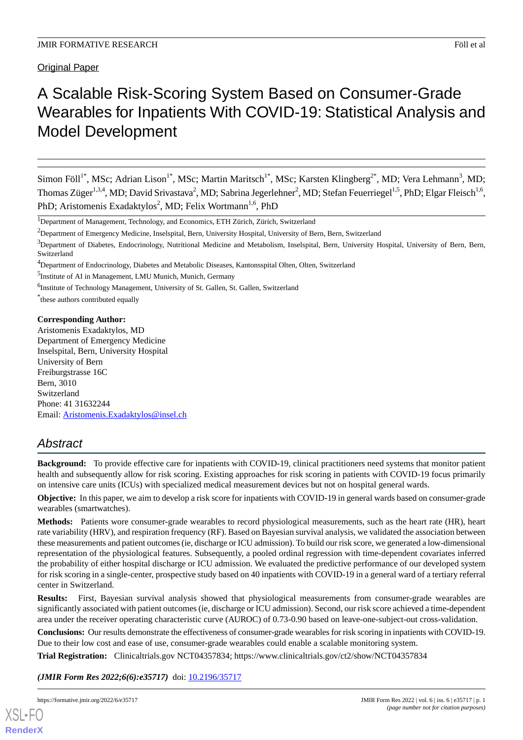Original Paper

# A Scalable Risk-Scoring System Based on Consumer-Grade Wearables for Inpatients With COVID-19: Statistical Analysis and Model Development

Simon Föll<sup>1\*</sup>, MSc; Adrian Lison<sup>1\*</sup>, MSc; Martin Maritsch<sup>1\*</sup>, MSc; Karsten Klingberg<sup>2\*</sup>, MD; Vera Lehmann<sup>3</sup>, MD; Thomas Züger<sup>1,3,4</sup>, MD; David Srivastava<sup>2</sup>, MD; Sabrina Jegerlehner<sup>2</sup>, MD; Stefan Feuerriegel<sup>1,5</sup>, PhD; Elgar Fleisch<sup>1,6</sup>, PhD; Aristomenis Exadaktylos<sup>2</sup>, MD; Felix Wortmann<sup>1,6</sup>, PhD

<sup>5</sup>Institute of AI in Management, LMU Munich, Munich, Germany

\* these authors contributed equally

## **Corresponding Author:**

Aristomenis Exadaktylos, MD Department of Emergency Medicine Inselspital, Bern, University Hospital University of Bern Freiburgstrasse 16C Bern, 3010 Switzerland Phone: 41 31632244 Email: [Aristomenis.Exadaktylos@insel.ch](mailto:Aristomenis.Exadaktylos@insel.ch)

## *Abstract*

**Background:** To provide effective care for inpatients with COVID-19, clinical practitioners need systems that monitor patient health and subsequently allow for risk scoring. Existing approaches for risk scoring in patients with COVID-19 focus primarily on intensive care units (ICUs) with specialized medical measurement devices but not on hospital general wards.

**Objective:** In this paper, we aim to develop a risk score for inpatients with COVID-19 in general wards based on consumer-grade wearables (smartwatches).

**Methods:** Patients wore consumer-grade wearables to record physiological measurements, such as the heart rate (HR), heart rate variability (HRV), and respiration frequency (RF). Based on Bayesian survival analysis, we validated the association between these measurements and patient outcomes (ie, discharge or ICU admission). To build our risk score, we generated a low-dimensional representation of the physiological features. Subsequently, a pooled ordinal regression with time-dependent covariates inferred the probability of either hospital discharge or ICU admission. We evaluated the predictive performance of our developed system for risk scoring in a single-center, prospective study based on 40 inpatients with COVID-19 in a general ward of a tertiary referral center in Switzerland.

**Results:** First, Bayesian survival analysis showed that physiological measurements from consumer-grade wearables are significantly associated with patient outcomes (ie, discharge or ICU admission). Second, our risk score achieved a time-dependent area under the receiver operating characteristic curve (AUROC) of 0.73-0.90 based on leave-one-subject-out cross-validation.

**Conclusions:** Our results demonstrate the effectiveness of consumer-grade wearables for risk scoring in inpatients with COVID-19. Due to their low cost and ease of use, consumer-grade wearables could enable a scalable monitoring system.

**Trial Registration:** Clinicaltrials.gov NCT04357834; https://www.clinicaltrials.gov/ct2/show/NCT04357834

(JMIR Form Res 2022;6(6):e35717) doi: [10.2196/35717](http://dx.doi.org/10.2196/35717)

<sup>1</sup>Department of Management, Technology, and Economics, ETH Zürich, Zürich, Switzerland

<sup>&</sup>lt;sup>2</sup>Department of Emergency Medicine, Inselspital, Bern, University Hospital, University of Bern, Bern, Switzerland

<sup>&</sup>lt;sup>3</sup>Department of Diabetes, Endocrinology, Nutritional Medicine and Metabolism, Inselspital, Bern, University Hospital, University of Bern, Bern, Switzerland

<sup>4</sup>Department of Endocrinology, Diabetes and Metabolic Diseases, Kantonsspital Olten, Olten, Switzerland

<sup>&</sup>lt;sup>6</sup>Institute of Technology Management, University of St. Gallen, St. Gallen, Switzerland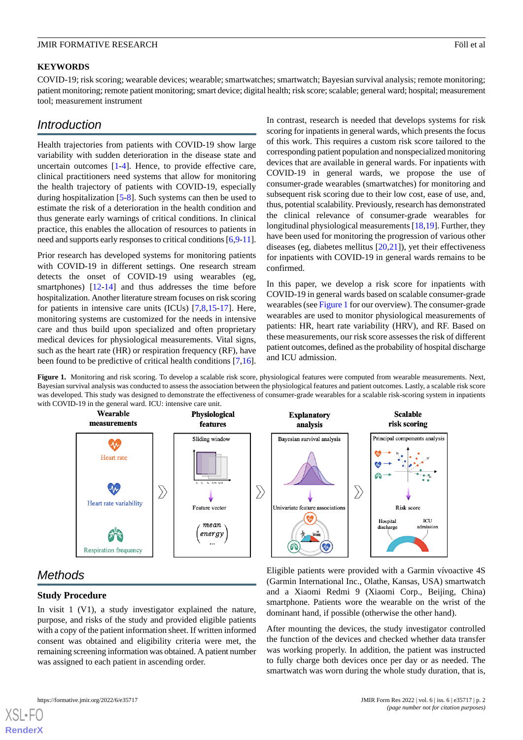## **KEYWORDS**

COVID-19; risk scoring; wearable devices; wearable; smartwatches; smartwatch; Bayesian survival analysis; remote monitoring; patient monitoring; remote patient monitoring; smart device; digital health; risk score; scalable; general ward; hospital; measurement tool; measurement instrument

## *Introduction*

Health trajectories from patients with COVID-19 show large variability with sudden deterioration in the disease state and uncertain outcomes [\[1](#page-9-0)-[4\]](#page-9-1). Hence, to provide effective care, clinical practitioners need systems that allow for monitoring the health trajectory of patients with COVID-19, especially during hospitalization [\[5](#page-9-2)[-8](#page-9-3)]. Such systems can then be used to estimate the risk of a deterioration in the health condition and thus generate early warnings of critical conditions. In clinical practice, this enables the allocation of resources to patients in need and supports early responses to critical conditions [[6,](#page-9-4)[9-](#page-9-5)[11\]](#page-9-6).

Prior research has developed systems for monitoring patients with COVID-19 in different settings. One research stream detects the onset of COVID-19 using wearables (eg, smartphones) [[12-](#page-9-7)[14\]](#page-9-8) and thus addresses the time before hospitalization. Another literature stream focuses on risk scoring for patients in intensive care units (ICUs) [[7](#page-9-9)[,8](#page-9-3),[15](#page-9-10)[-17](#page-10-0)]. Here, monitoring systems are customized for the needs in intensive care and thus build upon specialized and often proprietary medical devices for physiological measurements. Vital signs, such as the heart rate (HR) or respiration frequency (RF), have been found to be predictive of critical health conditions [\[7](#page-9-9),[16\]](#page-10-1).

In contrast, research is needed that develops systems for risk scoring for inpatients in general wards, which presents the focus of this work. This requires a custom risk score tailored to the corresponding patient population and nonspecialized monitoring devices that are available in general wards. For inpatients with COVID-19 in general wards, we propose the use of consumer-grade wearables (smartwatches) for monitoring and subsequent risk scoring due to their low cost, ease of use, and, thus, potential scalability. Previously, research has demonstrated the clinical relevance of consumer-grade wearables for longitudinal physiological measurements [\[18](#page-10-2)[,19](#page-10-3)]. Further, they have been used for monitoring the progression of various other diseases (eg, diabetes mellitus [[20](#page-10-4)[,21](#page-10-5)]), yet their effectiveness for inpatients with COVID-19 in general wards remains to be confirmed.

In this paper, we develop a risk score for inpatients with COVID-19 in general wards based on scalable consumer-grade wearables (see [Figure 1](#page-1-0) for our overview). The consumer-grade wearables are used to monitor physiological measurements of patients: HR, heart rate variability (HRV), and RF. Based on these measurements, our risk score assesses the risk of different patient outcomes, defined as the probability of hospital discharge and ICU admission.

<span id="page-1-0"></span>Figure 1. Monitoring and risk scoring. To develop a scalable risk score, physiological features were computed from wearable measurements. Next, Bayesian survival analysis was conducted to assess the association between the physiological features and patient outcomes. Lastly, a scalable risk score was developed. This study was designed to demonstrate the effectiveness of consumer-grade wearables for a scalable risk-scoring system in inpatients with COVID-19 in the general ward. ICU: intensive care unit.



## *Methods*

## **Study Procedure**

In visit 1 (V1), a study investigator explained the nature, purpose, and risks of the study and provided eligible patients with a copy of the patient information sheet. If written informed consent was obtained and eligibility criteria were met, the remaining screening information was obtained. A patient number was assigned to each patient in ascending order.

Eligible patients were provided with a Garmin vívoactive 4S (Garmin International Inc., Olathe, Kansas, USA) smartwatch and a Xiaomi Redmi 9 (Xiaomi Corp., Beijing, China) smartphone. Patients wore the wearable on the wrist of the dominant hand, if possible (otherwise the other hand).

After mounting the devices, the study investigator controlled the function of the devices and checked whether data transfer was working properly. In addition, the patient was instructed to fully charge both devices once per day or as needed. The smartwatch was worn during the whole study duration, that is,

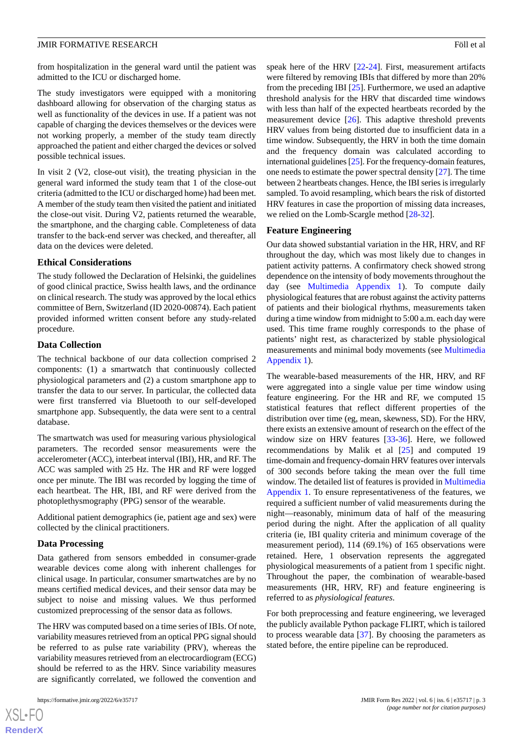from hospitalization in the general ward until the patient was admitted to the ICU or discharged home.

The study investigators were equipped with a monitoring dashboard allowing for observation of the charging status as well as functionality of the devices in use. If a patient was not capable of charging the devices themselves or the devices were not working properly, a member of the study team directly approached the patient and either charged the devices or solved possible technical issues.

In visit 2 (V2, close-out visit), the treating physician in the general ward informed the study team that 1 of the close-out criteria (admitted to the ICU or discharged home) had been met. A member of the study team then visited the patient and initiated the close-out visit. During V2, patients returned the wearable, the smartphone, and the charging cable. Completeness of data transfer to the back-end server was checked, and thereafter, all data on the devices were deleted.

#### **Ethical Considerations**

The study followed the Declaration of Helsinki, the guidelines of good clinical practice, Swiss health laws, and the ordinance on clinical research. The study was approved by the local ethics committee of Bern, Switzerland (ID 2020-00874). Each patient provided informed written consent before any study-related procedure.

#### **Data Collection**

The technical backbone of our data collection comprised 2 components: (1) a smartwatch that continuously collected physiological parameters and (2) a custom smartphone app to transfer the data to our server. In particular, the collected data were first transferred via Bluetooth to our self-developed smartphone app. Subsequently, the data were sent to a central database.

The smartwatch was used for measuring various physiological parameters. The recorded sensor measurements were the accelerometer (ACC), interbeat interval (IBI), HR, and RF. The ACC was sampled with 25 Hz. The HR and RF were logged once per minute. The IBI was recorded by logging the time of each heartbeat. The HR, IBI, and RF were derived from the photoplethysmography (PPG) sensor of the wearable.

Additional patient demographics (ie, patient age and sex) were collected by the clinical practitioners.

#### **Data Processing**

Data gathered from sensors embedded in consumer-grade wearable devices come along with inherent challenges for clinical usage. In particular, consumer smartwatches are by no means certified medical devices, and their sensor data may be subject to noise and missing values. We thus performed customized preprocessing of the sensor data as follows.

The HRV was computed based on a time series of IBIs. Of note, variability measures retrieved from an optical PPG signal should be referred to as pulse rate variability (PRV), whereas the variability measures retrieved from an electrocardiogram (ECG) should be referred to as the HRV. Since variability measures are significantly correlated, we followed the convention and

speak here of the HRV [\[22](#page-10-6)-[24\]](#page-10-7). First, measurement artifacts were filtered by removing IBIs that differed by more than 20% from the preceding IBI [\[25](#page-10-8)]. Furthermore, we used an adaptive threshold analysis for the HRV that discarded time windows with less than half of the expected heartbeats recorded by the measurement device [[26\]](#page-10-9). This adaptive threshold prevents HRV values from being distorted due to insufficient data in a time window. Subsequently, the HRV in both the time domain and the frequency domain was calculated according to international guidelines [[25\]](#page-10-8). For the frequency-domain features, one needs to estimate the power spectral density [\[27](#page-10-10)]. The time between 2 heartbeats changes. Hence, the IBI series is irregularly sampled. To avoid resampling, which bears the risk of distorted HRV features in case the proportion of missing data increases, we relied on the Lomb-Scargle method [[28-](#page-10-11)[32\]](#page-10-12).

## **Feature Engineering**

Our data showed substantial variation in the HR, HRV, and RF throughout the day, which was most likely due to changes in patient activity patterns. A confirmatory check showed strong dependence on the intensity of body movements throughout the day (see [Multimedia Appendix 1\)](#page-8-0). To compute daily physiological features that are robust against the activity patterns of patients and their biological rhythms, measurements taken during a time window from midnight to 5:00 a.m. each day were used. This time frame roughly corresponds to the phase of patients' night rest, as characterized by stable physiological measurements and minimal body movements (see [Multimedia](#page-8-0) [Appendix 1\)](#page-8-0).

The wearable-based measurements of the HR, HRV, and RF were aggregated into a single value per time window using feature engineering. For the HR and RF, we computed 15 statistical features that reflect different properties of the distribution over time (eg, mean, skewness, SD). For the HRV, there exists an extensive amount of research on the effect of the window size on HRV features [\[33](#page-10-13)-[36\]](#page-10-14). Here, we followed recommendations by Malik et al [\[25](#page-10-8)] and computed 19 time-domain and frequency-domain HRV features over intervals of 300 seconds before taking the mean over the full time window. The detailed list of features is provided in **Multimedia** [Appendix 1](#page-8-0). To ensure representativeness of the features, we required a sufficient number of valid measurements during the night—reasonably, minimum data of half of the measuring period during the night. After the application of all quality criteria (ie, IBI quality criteria and minimum coverage of the measurement period), 114 (69.1%) of 165 observations were retained. Here, 1 observation represents the aggregated physiological measurements of a patient from 1 specific night. Throughout the paper, the combination of wearable-based measurements (HR, HRV, RF) and feature engineering is referred to as *physiological features*.

For both preprocessing and feature engineering, we leveraged the publicly available Python package FLIRT, which is tailored to process wearable data [[37\]](#page-10-15). By choosing the parameters as stated before, the entire pipeline can be reproduced.

 $XS$  $\cdot$ FC **[RenderX](http://www.renderx.com/)**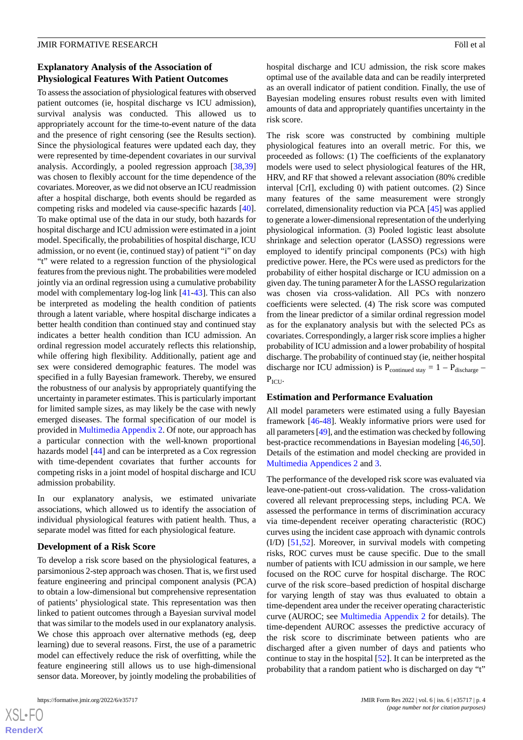## **Explanatory Analysis of the Association of Physiological Features With Patient Outcomes**

To assess the association of physiological features with observed patient outcomes (ie, hospital discharge vs ICU admission), survival analysis was conducted. This allowed us to appropriately account for the time-to-event nature of the data and the presence of right censoring (see the Results section). Since the physiological features were updated each day, they were represented by time-dependent covariates in our survival analysis. Accordingly, a pooled regression approach [[38](#page-11-0)[,39](#page-11-1)] was chosen to flexibly account for the time dependence of the covariates. Moreover, as we did not observe an ICU readmission after a hospital discharge, both events should be regarded as competing risks and modeled via cause-specific hazards [[40\]](#page-11-2). To make optimal use of the data in our study, both hazards for hospital discharge and ICU admission were estimated in a joint model. Specifically, the probabilities of hospital discharge, ICU admission, or no event (ie, continued stay) of patient "i" on day "t" were related to a regression function of the physiological features from the previous night. The probabilities were modeled jointly via an ordinal regression using a cumulative probability model with complementary log-log link [\[41](#page-11-3)-[43\]](#page-11-4). This can also be interpreted as modeling the health condition of patients through a latent variable, where hospital discharge indicates a better health condition than continued stay and continued stay indicates a better health condition than ICU admission. An ordinal regression model accurately reflects this relationship, while offering high flexibility. Additionally, patient age and sex were considered demographic features. The model was specified in a fully Bayesian framework. Thereby, we ensured the robustness of our analysis by appropriately quantifying the uncertainty in parameter estimates. This is particularly important for limited sample sizes, as may likely be the case with newly emerged diseases. The formal specification of our model is provided in [Multimedia Appendix 2](#page-8-1). Of note, our approach has a particular connection with the well-known proportional hazards model [\[44](#page-11-5)] and can be interpreted as a Cox regression with time-dependent covariates that further accounts for competing risks in a joint model of hospital discharge and ICU admission probability.

In our explanatory analysis, we estimated univariate associations, which allowed us to identify the association of individual physiological features with patient health. Thus, a separate model was fitted for each physiological feature.

#### **Development of a Risk Score**

To develop a risk score based on the physiological features, a parsimonious 2-step approach was chosen. That is, we first used feature engineering and principal component analysis (PCA) to obtain a low-dimensional but comprehensive representation of patients' physiological state. This representation was then linked to patient outcomes through a Bayesian survival model that was similar to the models used in our explanatory analysis. We chose this approach over alternative methods (eg, deep learning) due to several reasons. First, the use of a parametric model can effectively reduce the risk of overfitting, while the feature engineering still allows us to use high-dimensional sensor data. Moreover, by jointly modeling the probabilities of

hospital discharge and ICU admission, the risk score makes optimal use of the available data and can be readily interpreted as an overall indicator of patient condition. Finally, the use of Bayesian modeling ensures robust results even with limited amounts of data and appropriately quantifies uncertainty in the risk score.

The risk score was constructed by combining multiple physiological features into an overall metric. For this, we proceeded as follows: (1) The coefficients of the explanatory models were used to select physiological features of the HR, HRV, and RF that showed a relevant association (80% credible interval [CrI], excluding 0) with patient outcomes. (2) Since many features of the same measurement were strongly correlated, dimensionality reduction via PCA [[45\]](#page-11-6) was applied to generate a lower-dimensional representation of the underlying physiological information. (3) Pooled logistic least absolute shrinkage and selection operator (LASSO) regressions were employed to identify principal components (PCs) with high predictive power. Here, the PCs were used as predictors for the probability of either hospital discharge or ICU admission on a given day. The tuning parameter  $\lambda$  for the LASSO regularization was chosen via cross-validation. All PCs with nonzero coefficients were selected. (4) The risk score was computed from the linear predictor of a similar ordinal regression model as for the explanatory analysis but with the selected PCs as covariates. Correspondingly, a larger risk score implies a higher probability of ICU admission and a lower probability of hospital discharge. The probability of continued stay (ie, neither hospital discharge nor ICU admission) is  $P_{\text{continued stay}} = 1 - P_{\text{discharge}} P_{\text{ICU}}$ .

#### **Estimation and Performance Evaluation**

All model parameters were estimated using a fully Bayesian framework [[46](#page-11-7)[-48](#page-11-8)]. Weakly informative priors were used for all parameters [\[49\]](#page-11-9), and the estimation was checked by following best-practice recommendations in Bayesian modeling [\[46](#page-11-7),[50\]](#page-11-10). Details of the estimation and model checking are provided in [Multimedia Appendices 2](#page-8-1) and [3.](#page-8-2)

The performance of the developed risk score was evaluated via leave-one-patient-out cross-validation. The cross-validation covered all relevant preprocessing steps, including PCA. We assessed the performance in terms of discrimination accuracy via time-dependent receiver operating characteristic (ROC) curves using the incident case approach with dynamic controls (I/D) [[51](#page-11-11)[,52](#page-11-12)]. Moreover, in survival models with competing risks, ROC curves must be cause specific. Due to the small number of patients with ICU admission in our sample, we here focused on the ROC curve for hospital discharge. The ROC curve of the risk score–based prediction of hospital discharge for varying length of stay was thus evaluated to obtain a time-dependent area under the receiver operating characteristic curve (AUROC; see [Multimedia Appendix 2](#page-8-1) for details). The time-dependent AUROC assesses the predictive accuracy of the risk score to discriminate between patients who are discharged after a given number of days and patients who continue to stay in the hospital [\[52](#page-11-12)]. It can be interpreted as the probability that a random patient who is discharged on day "t"

 $XS$  $\cdot$ FC **[RenderX](http://www.renderx.com/)**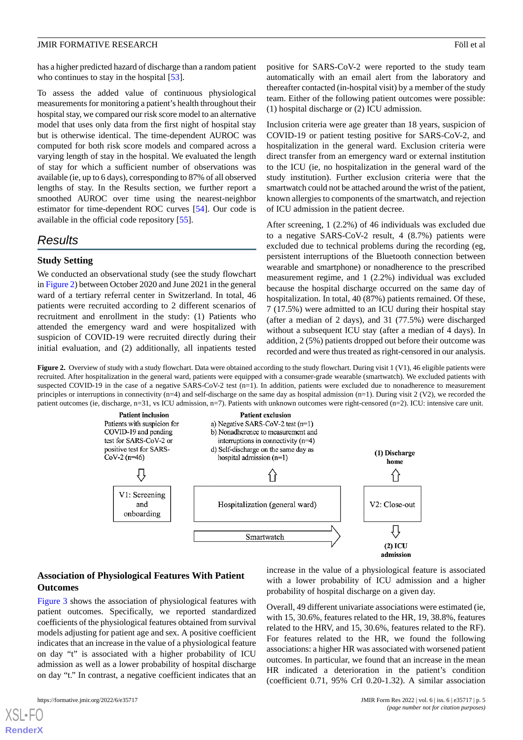has a higher predicted hazard of discharge than a random patient who continues to stay in the hospital [\[53](#page-11-13)].

To assess the added value of continuous physiological measurements for monitoring a patient's health throughout their hospital stay, we compared our risk score model to an alternative model that uses only data from the first night of hospital stay but is otherwise identical. The time-dependent AUROC was computed for both risk score models and compared across a varying length of stay in the hospital. We evaluated the length of stay for which a sufficient number of observations was available (ie, up to 6 days), corresponding to 87% of all observed lengths of stay. In the Results section, we further report a smoothed AUROC over time using the nearest-neighbor estimator for time-dependent ROC curves [[54\]](#page-11-14). Our code is available in the official code repository [\[55](#page-11-15)].

## *Results*

#### **Study Setting**

We conducted an observational study (see the study flowchart in [Figure 2\)](#page-4-0) between October 2020 and June 2021 in the general ward of a tertiary referral center in Switzerland. In total, 46 patients were recruited according to 2 different scenarios of recruitment and enrollment in the study: (1) Patients who attended the emergency ward and were hospitalized with suspicion of COVID-19 were recruited directly during their initial evaluation, and (2) additionally, all inpatients tested positive for SARS-CoV-2 were reported to the study team automatically with an email alert from the laboratory and thereafter contacted (in-hospital visit) by a member of the study team. Either of the following patient outcomes were possible: (1) hospital discharge or (2) ICU admission.

Inclusion criteria were age greater than 18 years, suspicion of COVID-19 or patient testing positive for SARS-CoV-2, and hospitalization in the general ward. Exclusion criteria were direct transfer from an emergency ward or external institution to the ICU (ie, no hospitalization in the general ward of the study institution). Further exclusion criteria were that the smartwatch could not be attached around the wrist of the patient, known allergies to components of the smartwatch, and rejection of ICU admission in the patient decree.

After screening, 1 (2.2%) of 46 individuals was excluded due to a negative SARS-CoV-2 result, 4 (8.7%) patients were excluded due to technical problems during the recording (eg, persistent interruptions of the Bluetooth connection between wearable and smartphone) or nonadherence to the prescribed measurement regime, and 1 (2.2%) individual was excluded because the hospital discharge occurred on the same day of hospitalization. In total, 40 (87%) patients remained. Of these, 7 (17.5%) were admitted to an ICU during their hospital stay (after a median of 2 days), and 31 (77.5%) were discharged without a subsequent ICU stay (after a median of 4 days). In addition, 2 (5%) patients dropped out before their outcome was recorded and were thus treated as right-censored in our analysis.

<span id="page-4-0"></span>Figure 2. Overview of study with a study flowchart. Data were obtained according to the study flowchart. During visit 1 (V1), 46 eligible patients were recruited. After hospitalization in the general ward, patients were equipped with a consumer-grade wearable (smartwatch). We excluded patients with suspected COVID-19 in the case of a negative SARS-CoV-2 test (n=1). In addition, patients were excluded due to nonadherence to measurement principles or interruptions in connectivity  $(n=4)$  and self-discharge on the same day as hospital admission  $(n=1)$ . During visit 2 (V2), we recorded the patient outcomes (ie, discharge, n=31, vs ICU admission, n=7). Patients with unknown outcomes were right-censored (n=2). ICU: intensive care unit.



## **Association of Physiological Features With Patient Outcomes**

[Figure 3](#page-5-0) shows the association of physiological features with patient outcomes. Specifically, we reported standardized coefficients of the physiological features obtained from survival models adjusting for patient age and sex. A positive coefficient indicates that an increase in the value of a physiological feature on day "t" is associated with a higher probability of ICU admission as well as a lower probability of hospital discharge on day "t." In contrast, a negative coefficient indicates that an

[XSL](http://www.w3.org/Style/XSL)•FO **[RenderX](http://www.renderx.com/)**

increase in the value of a physiological feature is associated with a lower probability of ICU admission and a higher probability of hospital discharge on a given day.

Overall, 49 different univariate associations were estimated (ie, with 15, 30.6%, features related to the HR, 19, 38.8%, features related to the HRV, and 15, 30.6%, features related to the RF). For features related to the HR, we found the following associations: a higher HR was associated with worsened patient outcomes. In particular, we found that an increase in the mean HR indicated a deterioration in the patient's condition (coefficient 0.71, 95% CrI 0.20-1.32). A similar association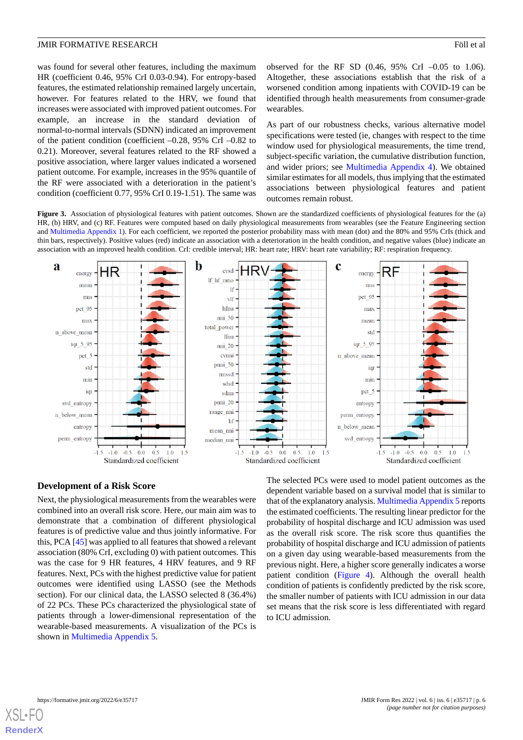was found for several other features, including the maximum HR (coefficient 0.46, 95% CrI 0.03-0.94). For entropy-based features, the estimated relationship remained largely uncertain, however. For features related to the HRV, we found that increases were associated with improved patient outcomes. For example, an increase in the standard deviation of normal-to-normal intervals (SDNN) indicated an improvement of the patient condition (coefficient –0.28, 95% CrI –0.82 to 0.21). Moreover, several features related to the RF showed a positive association, where larger values indicated a worsened patient outcome. For example, increases in the 95% quantile of the RF were associated with a deterioration in the patient's condition (coefficient 0.77, 95% CrI 0.19-1.51). The same was

observed for the RF SD (0.46, 95% CrI –0.05 to 1.06). Altogether, these associations establish that the risk of a worsened condition among inpatients with COVID-19 can be identified through health measurements from consumer-grade wearables.

As part of our robustness checks, various alternative model specifications were tested (ie, changes with respect to the time window used for physiological measurements, the time trend, subject-specific variation, the cumulative distribution function, and wider priors; see [Multimedia Appendix 4](#page-9-11)). We obtained similar estimates for all models, thus implying that the estimated associations between physiological features and patient outcomes remain robust.

<span id="page-5-0"></span>**Figure 3.** Association of physiological features with patient outcomes. Shown are the standardized coefficients of physiological features for the (a) HR, (b) HRV, and (c) RF. Features were computed based on daily physiological measurements from wearables (see the Feature Engineering section and [Multimedia Appendix 1](#page-8-0)). For each coefficient, we reported the posterior probability mass with mean (dot) and the 80% and 95% CrIs (thick and thin bars, respectively). Positive values (red) indicate an association with a deterioration in the health condition, and negative values (blue) indicate an association with an improved health condition. CrI: credible interval; HR: heart rate; HRV: heart rate variability; RF: respiration frequency.



#### **Development of a Risk Score**

Next, the physiological measurements from the wearables were combined into an overall risk score. Here, our main aim was to demonstrate that a combination of different physiological features is of predictive value and thus jointly informative. For this, PCA [[45\]](#page-11-6) was applied to all features that showed a relevant association (80% CrI, excluding 0) with patient outcomes. This was the case for 9 HR features, 4 HRV features, and 9 RF features. Next, PCs with the highest predictive value for patient outcomes were identified using LASSO (see the Methods section). For our clinical data, the LASSO selected 8 (36.4%) of 22 PCs. These PCs characterized the physiological state of patients through a lower-dimensional representation of the wearable-based measurements. A visualization of the PCs is shown in [Multimedia Appendix 5](#page-9-12).

The selected PCs were used to model patient outcomes as the dependent variable based on a survival model that is similar to that of the explanatory analysis. [Multimedia Appendix 5](#page-9-12) reports the estimated coefficients. The resulting linear predictor for the probability of hospital discharge and ICU admission was used as the overall risk score. The risk score thus quantifies the probability of hospital discharge and ICU admission of patients on a given day using wearable-based measurements from the previous night. Here, a higher score generally indicates a worse patient condition ([Figure 4](#page-6-0)). Although the overall health condition of patients is confidently predicted by the risk score, the smaller number of patients with ICU admission in our data set means that the risk score is less differentiated with regard to ICU admission.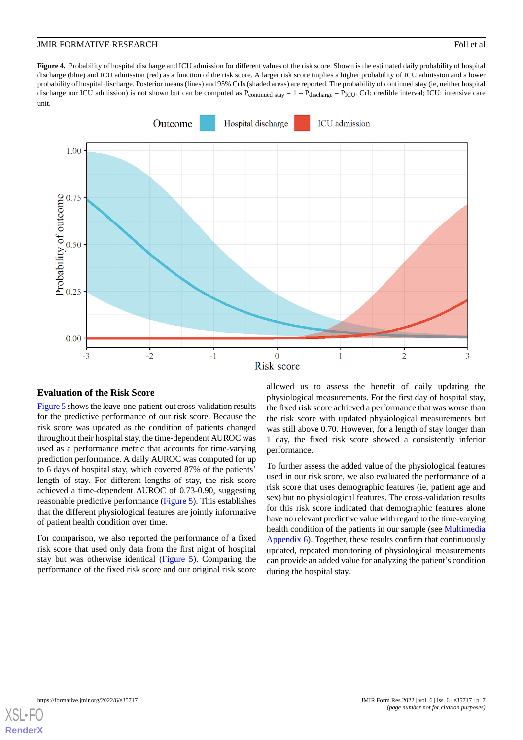<span id="page-6-0"></span>**Figure 4.** Probability of hospital discharge and ICU admission for different values of the risk score. Shown is the estimated daily probability of hospital discharge (blue) and ICU admission (red) as a function of the risk score. A larger risk score implies a higher probability of ICU admission and a lower probability of hospital discharge. Posterior means (lines) and 95% CrIs (shaded areas) are reported. The probability of continued stay (ie, neither hospital discharge nor ICU admission) is not shown but can be computed as  $P_{\text{continued stay}} = 1 - P_{\text{discharge}} - P_{\text{ICU}}$ . CrI: credible interval; ICU: intensive care unit.



## **Evaluation of the Risk Score**

[Figure 5](#page-7-0) shows the leave-one-patient-out cross-validation results for the predictive performance of our risk score. Because the risk score was updated as the condition of patients changed throughout their hospital stay, the time-dependent AUROC was used as a performance metric that accounts for time-varying prediction performance. A daily AUROC was computed for up to 6 days of hospital stay, which covered 87% of the patients' length of stay. For different lengths of stay, the risk score achieved a time-dependent AUROC of 0.73-0.90, suggesting reasonable predictive performance [\(Figure 5\)](#page-7-0). This establishes that the different physiological features are jointly informative of patient health condition over time.

For comparison, we also reported the performance of a fixed risk score that used only data from the first night of hospital stay but was otherwise identical ([Figure 5](#page-7-0)). Comparing the performance of the fixed risk score and our original risk score allowed us to assess the benefit of daily updating the physiological measurements. For the first day of hospital stay, the fixed risk score achieved a performance that was worse than the risk score with updated physiological measurements but was still above 0.70. However, for a length of stay longer than 1 day, the fixed risk score showed a consistently inferior performance.

To further assess the added value of the physiological features used in our risk score, we also evaluated the performance of a risk score that uses demographic features (ie, patient age and sex) but no physiological features. The cross-validation results for this risk score indicated that demographic features alone have no relevant predictive value with regard to the time-varying health condition of the patients in our sample (see [Multimedia](#page-9-13) [Appendix 6](#page-9-13)). Together, these results confirm that continuously updated, repeated monitoring of physiological measurements can provide an added value for analyzing the patient's condition during the hospital stay.

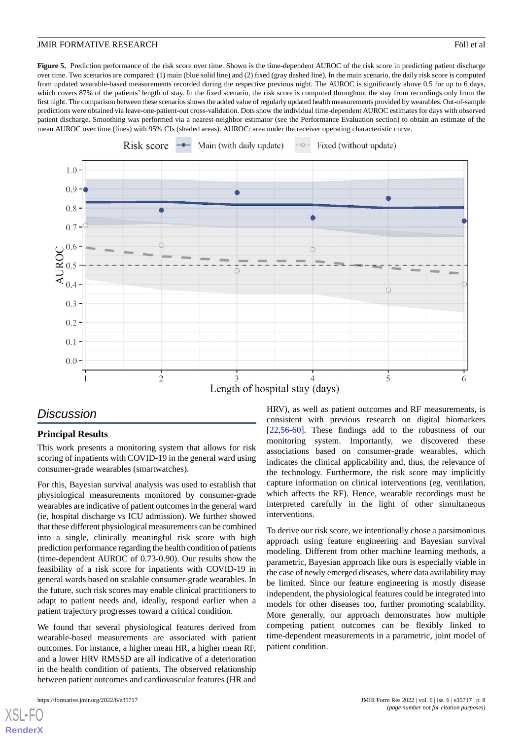<span id="page-7-0"></span>Figure 5. Prediction performance of the risk score over time. Shown is the time-dependent AUROC of the risk score in predicting patient discharge over time. Two scenarios are compared: (1) main (blue solid line) and (2) fixed (gray dashed line). In the main scenario, the daily risk score is computed from updated wearable-based measurements recorded during the respective previous night. The AUROC is significantly above 0.5 for up to 6 days, which covers 87% of the patients' length of stay. In the fixed scenario, the risk score is computed throughout the stay from recordings only from the first night. The comparison between these scenarios shows the added value of regularly updated health measurements provided by wearables. Out-of-sample predictions were obtained via leave-one-patient-out cross-validation. Dots show the individual time-dependent AUROC estimates for days with observed patient discharge. Smoothing was performed via a nearest-neighbor estimator (see the Performance Evaluation section) to obtain an estimate of the mean AUROC over time (lines) with 95% CIs (shaded areas). AUROC: area under the receiver operating characteristic curve.



## *Discussion*

#### **Principal Results**

This work presents a monitoring system that allows for risk scoring of inpatients with COVID-19 in the general ward using consumer-grade wearables (smartwatches).

For this, Bayesian survival analysis was used to establish that physiological measurements monitored by consumer-grade wearables are indicative of patient outcomes in the general ward (ie, hospital discharge vs ICU admission). We further showed that these different physiological measurements can be combined into a single, clinically meaningful risk score with high prediction performance regarding the health condition of patients (time-dependent AUROC of 0.73-0.90). Our results show the feasibility of a risk score for inpatients with COVID-19 in general wards based on scalable consumer-grade wearables. In the future, such risk scores may enable clinical practitioners to adapt to patient needs and, ideally, respond earlier when a patient trajectory progresses toward a critical condition.

We found that several physiological features derived from wearable-based measurements are associated with patient outcomes. For instance, a higher mean HR, a higher mean RF, and a lower HRV RMSSD are all indicative of a deterioration in the health condition of patients. The observed relationship between patient outcomes and cardiovascular features (HR and

HRV), as well as patient outcomes and RF measurements, is consistent with previous research on digital biomarkers [[22,](#page-10-6)[56-](#page-11-16)[60\]](#page-11-17). These findings add to the robustness of our monitoring system. Importantly, we discovered these associations based on consumer-grade wearables, which indicates the clinical applicability and, thus, the relevance of the technology. Furthermore, the risk score may implicitly capture information on clinical interventions (eg, ventilation, which affects the RF). Hence, wearable recordings must be interpreted carefully in the light of other simultaneous interventions.

To derive our risk score, we intentionally chose a parsimonious approach using feature engineering and Bayesian survival modeling. Different from other machine learning methods, a parametric, Bayesian approach like ours is especially viable in the case of newly emerged diseases, where data availability may be limited. Since our feature engineering is mostly disease independent, the physiological features could be integrated into models for other diseases too, further promoting scalability. More generally, our approach demonstrates how multiple competing patient outcomes can be flexibly linked to time-dependent measurements in a parametric, joint model of patient condition.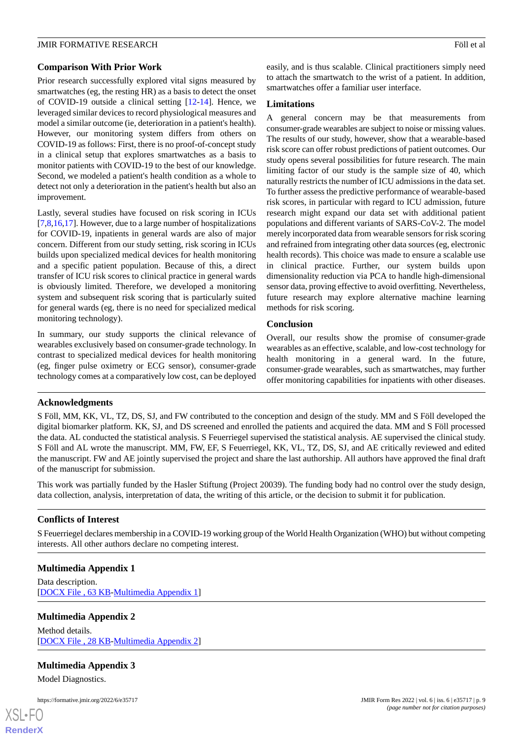## **Comparison With Prior Work**

Prior research successfully explored vital signs measured by smartwatches (eg, the resting HR) as a basis to detect the onset of COVID-19 outside a clinical setting [\[12](#page-9-7)[-14](#page-9-8)]. Hence, we leveraged similar devices to record physiological measures and model a similar outcome (ie, deterioration in a patient's health). However, our monitoring system differs from others on COVID-19 as follows: First, there is no proof-of-concept study in a clinical setup that explores smartwatches as a basis to monitor patients with COVID-19 to the best of our knowledge. Second, we modeled a patient's health condition as a whole to detect not only a deterioration in the patient's health but also an improvement.

Lastly, several studies have focused on risk scoring in ICUs [[7](#page-9-9)[,8](#page-9-3),[16](#page-10-1)[,17](#page-10-0)]. However, due to a large number of hospitalizations for COVID-19, inpatients in general wards are also of major concern. Different from our study setting, risk scoring in ICUs builds upon specialized medical devices for health monitoring and a specific patient population. Because of this, a direct transfer of ICU risk scores to clinical practice in general wards is obviously limited. Therefore, we developed a monitoring system and subsequent risk scoring that is particularly suited for general wards (eg, there is no need for specialized medical monitoring technology).

In summary, our study supports the clinical relevance of wearables exclusively based on consumer-grade technology. In contrast to specialized medical devices for health monitoring (eg, finger pulse oximetry or ECG sensor), consumer-grade technology comes at a comparatively low cost, can be deployed easily, and is thus scalable. Clinical practitioners simply need to attach the smartwatch to the wrist of a patient. In addition, smartwatches offer a familiar user interface.

#### **Limitations**

A general concern may be that measurements from consumer-grade wearables are subject to noise or missing values. The results of our study, however, show that a wearable-based risk score can offer robust predictions of patient outcomes. Our study opens several possibilities for future research. The main limiting factor of our study is the sample size of 40, which naturally restricts the number of ICU admissions in the data set. To further assess the predictive performance of wearable-based risk scores, in particular with regard to ICU admission, future research might expand our data set with additional patient populations and different variants of SARS-CoV-2. The model merely incorporated data from wearable sensors for risk scoring and refrained from integrating other data sources (eg, electronic health records). This choice was made to ensure a scalable use in clinical practice. Further, our system builds upon dimensionality reduction via PCA to handle high-dimensional sensor data, proving effective to avoid overfitting. Nevertheless, future research may explore alternative machine learning methods for risk scoring.

## **Conclusion**

Overall, our results show the promise of consumer-grade wearables as an effective, scalable, and low-cost technology for health monitoring in a general ward. In the future, consumer-grade wearables, such as smartwatches, may further offer monitoring capabilities for inpatients with other diseases.

## **Acknowledgments**

S Föll, MM, KK, VL, TZ, DS, SJ, and FW contributed to the conception and design of the study. MM and S Föll developed the digital biomarker platform. KK, SJ, and DS screened and enrolled the patients and acquired the data. MM and S Föll processed the data. AL conducted the statistical analysis. S Feuerriegel supervised the statistical analysis. AE supervised the clinical study. S Föll and AL wrote the manuscript. MM, FW, EF, S Feuerriegel, KK, VL, TZ, DS, SJ, and AE critically reviewed and edited the manuscript. FW and AE jointly supervised the project and share the last authorship. All authors have approved the final draft of the manuscript for submission.

This work was partially funded by the Hasler Stiftung (Project 20039). The funding body had no control over the study design, data collection, analysis, interpretation of data, the writing of this article, or the decision to submit it for publication.

## <span id="page-8-0"></span>**Conflicts of Interest**

S Feuerriegel declares membership in a COVID-19 working group of the World Health Organization (WHO) but without competing interests. All other authors declare no competing interest.

## <span id="page-8-1"></span>**Multimedia Appendix 1**

<span id="page-8-2"></span>Data description. [[DOCX File , 63 KB](https://jmir.org/api/download?alt_name=formative_v6i6e35717_app1.docx&filename=598b0284ed85a450f51a26ac045e7439.docx)-[Multimedia Appendix 1\]](https://jmir.org/api/download?alt_name=formative_v6i6e35717_app1.docx&filename=598b0284ed85a450f51a26ac045e7439.docx)

## **Multimedia Appendix 2**

Method details. [[DOCX File , 28 KB](https://jmir.org/api/download?alt_name=formative_v6i6e35717_app2.docx&filename=810b57bca606c497b1e7ff6f5fc6a89a.docx)-[Multimedia Appendix 2\]](https://jmir.org/api/download?alt_name=formative_v6i6e35717_app2.docx&filename=810b57bca606c497b1e7ff6f5fc6a89a.docx)

## **Multimedia Appendix 3**

Model Diagnostics.

https://formative.jmir.org/2022/6/e35717 JMIR Form Res 2022 | vol. 6 | iss. 6 | e35717 | p. 9

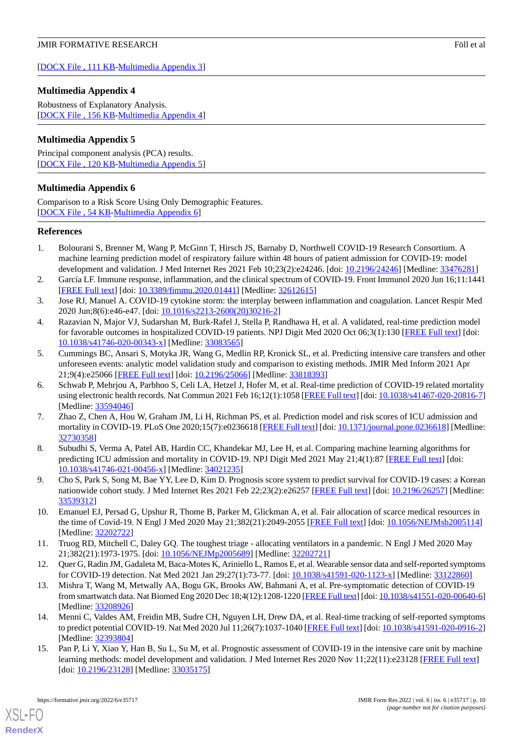## <span id="page-9-11"></span>**Multimedia Appendix 4**

Robustness of Explanatory Analysis. [[DOCX File , 156 KB-Multimedia Appendix 4\]](https://jmir.org/api/download?alt_name=formative_v6i6e35717_app4.docx&filename=55c9a16bb33236f30def5df0b7d87d45.docx)

## <span id="page-9-12"></span>**Multimedia Appendix 5**

<span id="page-9-13"></span>Principal component analysis (PCA) results. [[DOCX File , 120 KB-Multimedia Appendix 5\]](https://jmir.org/api/download?alt_name=formative_v6i6e35717_app5.docx&filename=c999848419ee3b833791467b4161e63a.docx)

## **Multimedia Appendix 6**

Comparison to a Risk Score Using Only Demographic Features. [[DOCX File , 54 KB](https://jmir.org/api/download?alt_name=formative_v6i6e35717_app6.docx&filename=4aca2947bbd4fde76b931df97ebccd01.docx)-[Multimedia Appendix 6\]](https://jmir.org/api/download?alt_name=formative_v6i6e35717_app6.docx&filename=4aca2947bbd4fde76b931df97ebccd01.docx)

## <span id="page-9-0"></span>**References**

- 1. Bolourani S, Brenner M, Wang P, McGinn T, Hirsch JS, Barnaby D, Northwell COVID-19 Research Consortium. A machine learning prediction model of respiratory failure within 48 hours of patient admission for COVID-19: model development and validation. J Med Internet Res 2021 Feb 10;23(2):e24246. [doi: [10.2196/24246\]](http://dx.doi.org/10.2196/24246) [Medline: [33476281](http://www.ncbi.nlm.nih.gov/entrez/query.fcgi?cmd=Retrieve&db=PubMed&list_uids=33476281&dopt=Abstract)]
- <span id="page-9-1"></span>2. García LF. Immune response, inflammation, and the clinical spectrum of COVID-19. Front Immunol 2020 Jun 16;11:1441 [[FREE Full text](https://doi.org/10.3389/fimmu.2020.01441)] [doi: [10.3389/fimmu.2020.01441](http://dx.doi.org/10.3389/fimmu.2020.01441)] [Medline: [32612615](http://www.ncbi.nlm.nih.gov/entrez/query.fcgi?cmd=Retrieve&db=PubMed&list_uids=32612615&dopt=Abstract)]
- 3. Jose RJ, Manuel A. COVID-19 cytokine storm: the interplay between inflammation and coagulation. Lancet Respir Med 2020 Jun;8(6):e46-e47. [doi: [10.1016/s2213-2600\(20\)30216-2](http://dx.doi.org/10.1016/s2213-2600(20)30216-2)]
- <span id="page-9-2"></span>4. Razavian N, Major VJ, Sudarshan M, Burk-Rafel J, Stella P, Randhawa H, et al. A validated, real-time prediction model for favorable outcomes in hospitalized COVID-19 patients. NPJ Digit Med 2020 Oct 06;3(1):130 [\[FREE Full text\]](https://doi.org/10.1038/s41746-020-00343-x) [doi: [10.1038/s41746-020-00343-x\]](http://dx.doi.org/10.1038/s41746-020-00343-x) [Medline: [33083565\]](http://www.ncbi.nlm.nih.gov/entrez/query.fcgi?cmd=Retrieve&db=PubMed&list_uids=33083565&dopt=Abstract)
- <span id="page-9-4"></span>5. Cummings BC, Ansari S, Motyka JR, Wang G, Medlin RP, Kronick SL, et al. Predicting intensive care transfers and other unforeseen events: analytic model validation study and comparison to existing methods. JMIR Med Inform 2021 Apr 21;9(4):e25066 [\[FREE Full text](https://medinform.jmir.org/2021/4/e25066/)] [doi: [10.2196/25066\]](http://dx.doi.org/10.2196/25066) [Medline: [33818393\]](http://www.ncbi.nlm.nih.gov/entrez/query.fcgi?cmd=Retrieve&db=PubMed&list_uids=33818393&dopt=Abstract)
- <span id="page-9-9"></span>6. Schwab P, Mehrjou A, Parbhoo S, Celi LA, Hetzel J, Hofer M, et al. Real-time prediction of COVID-19 related mortality using electronic health records. Nat Commun 2021 Feb 16;12(1):1058 [[FREE Full text](https://doi.org/10.1038/s41467-020-20816-7)] [doi: [10.1038/s41467-020-20816-7\]](http://dx.doi.org/10.1038/s41467-020-20816-7) [Medline: [33594046](http://www.ncbi.nlm.nih.gov/entrez/query.fcgi?cmd=Retrieve&db=PubMed&list_uids=33594046&dopt=Abstract)]
- <span id="page-9-5"></span><span id="page-9-3"></span>7. Zhao Z, Chen A, Hou W, Graham JM, Li H, Richman PS, et al. Prediction model and risk scores of ICU admission and mortality in COVID-19. PLoS One 2020;15(7):e0236618 [\[FREE Full text\]](https://dx.plos.org/10.1371/journal.pone.0236618) [doi: [10.1371/journal.pone.0236618\]](http://dx.doi.org/10.1371/journal.pone.0236618) [Medline: [32730358](http://www.ncbi.nlm.nih.gov/entrez/query.fcgi?cmd=Retrieve&db=PubMed&list_uids=32730358&dopt=Abstract)]
- 8. Subudhi S, Verma A, Patel AB, Hardin CC, Khandekar MJ, Lee H, et al. Comparing machine learning algorithms for predicting ICU admission and mortality in COVID-19. NPJ Digit Med 2021 May 21;4(1):87 [[FREE Full text](https://doi.org/10.1038/s41746-021-00456-x)] [doi: [10.1038/s41746-021-00456-x\]](http://dx.doi.org/10.1038/s41746-021-00456-x) [Medline: [34021235\]](http://www.ncbi.nlm.nih.gov/entrez/query.fcgi?cmd=Retrieve&db=PubMed&list_uids=34021235&dopt=Abstract)
- <span id="page-9-6"></span>9. Cho S, Park S, Song M, Bae YY, Lee D, Kim D. Prognosis score system to predict survival for COVID-19 cases: a Korean nationwide cohort study. J Med Internet Res 2021 Feb 22;23(2):e26257 [\[FREE Full text\]](https://www.jmir.org/2021/2/e26257/) [doi: [10.2196/26257](http://dx.doi.org/10.2196/26257)] [Medline: [33539312](http://www.ncbi.nlm.nih.gov/entrez/query.fcgi?cmd=Retrieve&db=PubMed&list_uids=33539312&dopt=Abstract)]
- <span id="page-9-7"></span>10. Emanuel EJ, Persad G, Upshur R, Thome B, Parker M, Glickman A, et al. Fair allocation of scarce medical resources in the time of Covid-19. N Engl J Med 2020 May 21;382(21):2049-2055 [\[FREE Full text](http://paperpile.com/b/zeAGPV/uAhk)] [doi: [10.1056/NEJMsb2005114\]](http://dx.doi.org/10.1056/NEJMsb2005114) [Medline: [32202722](http://www.ncbi.nlm.nih.gov/entrez/query.fcgi?cmd=Retrieve&db=PubMed&list_uids=32202722&dopt=Abstract)]
- 11. Truog RD, Mitchell C, Daley GQ. The toughest triage allocating ventilators in a pandemic. N Engl J Med 2020 May 21;382(21):1973-1975. [doi: [10.1056/NEJMp2005689\]](http://dx.doi.org/10.1056/NEJMp2005689) [Medline: [32202721\]](http://www.ncbi.nlm.nih.gov/entrez/query.fcgi?cmd=Retrieve&db=PubMed&list_uids=32202721&dopt=Abstract)
- <span id="page-9-8"></span>12. Quer G, Radin JM, Gadaleta M, Baca-Motes K, Ariniello L, Ramos E, et al. Wearable sensor data and self-reported symptoms for COVID-19 detection. Nat Med 2021 Jan 29;27(1):73-77. [doi: [10.1038/s41591-020-1123-x](http://dx.doi.org/10.1038/s41591-020-1123-x)] [Medline: [33122860](http://www.ncbi.nlm.nih.gov/entrez/query.fcgi?cmd=Retrieve&db=PubMed&list_uids=33122860&dopt=Abstract)]
- <span id="page-9-10"></span>13. Mishra T, Wang M, Metwally AA, Bogu GK, Brooks AW, Bahmani A, et al. Pre-symptomatic detection of COVID-19 from smartwatch data. Nat Biomed Eng 2020 Dec 18;4(12):1208-1220 [[FREE Full text](http://europepmc.org/abstract/MED/33208926)] [doi: [10.1038/s41551-020-00640-6\]](http://dx.doi.org/10.1038/s41551-020-00640-6) [Medline: [33208926](http://www.ncbi.nlm.nih.gov/entrez/query.fcgi?cmd=Retrieve&db=PubMed&list_uids=33208926&dopt=Abstract)]
- 14. Menni C, Valdes AM, Freidin MB, Sudre CH, Nguyen LH, Drew DA, et al. Real-time tracking of self-reported symptoms to predict potential COVID-19. Nat Med 2020 Jul 11;26(7):1037-1040 [[FREE Full text](http://europepmc.org/abstract/MED/32393804)] [doi: [10.1038/s41591-020-0916-2](http://dx.doi.org/10.1038/s41591-020-0916-2)] [Medline: [32393804](http://www.ncbi.nlm.nih.gov/entrez/query.fcgi?cmd=Retrieve&db=PubMed&list_uids=32393804&dopt=Abstract)]
- 15. Pan P, Li Y, Xiao Y, Han B, Su L, Su M, et al. Prognostic assessment of COVID-19 in the intensive care unit by machine learning methods: model development and validation. J Med Internet Res 2020 Nov 11;22(11):e23128 [[FREE Full text](https://www.jmir.org/2020/11/e23128/)] [doi: [10.2196/23128](http://dx.doi.org/10.2196/23128)] [Medline: [33035175\]](http://www.ncbi.nlm.nih.gov/entrez/query.fcgi?cmd=Retrieve&db=PubMed&list_uids=33035175&dopt=Abstract)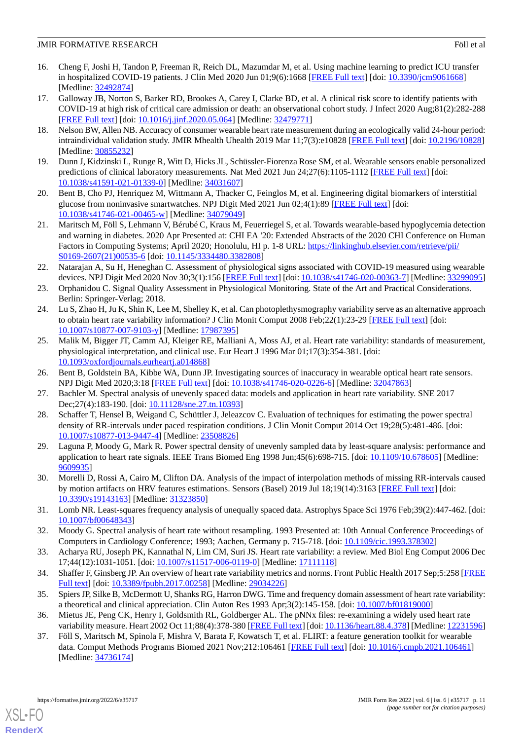## **JMIR FORMATIVE RESEARCH Föll et al.** Föll et al.

- <span id="page-10-1"></span>16. Cheng F, Joshi H, Tandon P, Freeman R, Reich DL, Mazumdar M, et al. Using machine learning to predict ICU transfer in hospitalized COVID-19 patients. J Clin Med 2020 Jun 01;9(6):1668 [[FREE Full text](https://www.mdpi.com/resolver?pii=jcm9061668)] [doi: [10.3390/jcm9061668\]](http://dx.doi.org/10.3390/jcm9061668) [Medline: [32492874](http://www.ncbi.nlm.nih.gov/entrez/query.fcgi?cmd=Retrieve&db=PubMed&list_uids=32492874&dopt=Abstract)]
- <span id="page-10-0"></span>17. Galloway JB, Norton S, Barker RD, Brookes A, Carey I, Clarke BD, et al. A clinical risk score to identify patients with COVID-19 at high risk of critical care admission or death: an observational cohort study. J Infect 2020 Aug;81(2):282-288 [[FREE Full text](http://europepmc.org/abstract/MED/32479771)] [doi: [10.1016/j.jinf.2020.05.064](http://dx.doi.org/10.1016/j.jinf.2020.05.064)] [Medline: [32479771](http://www.ncbi.nlm.nih.gov/entrez/query.fcgi?cmd=Retrieve&db=PubMed&list_uids=32479771&dopt=Abstract)]
- <span id="page-10-2"></span>18. Nelson BW, Allen NB. Accuracy of consumer wearable heart rate measurement during an ecologically valid 24-hour period: intraindividual validation study. JMIR Mhealth Uhealth 2019 Mar 11;7(3):e10828 [\[FREE Full text\]](https://mhealth.jmir.org/2019/3/e10828/) [doi: [10.2196/10828](http://dx.doi.org/10.2196/10828)] [Medline: [30855232](http://www.ncbi.nlm.nih.gov/entrez/query.fcgi?cmd=Retrieve&db=PubMed&list_uids=30855232&dopt=Abstract)]
- <span id="page-10-4"></span><span id="page-10-3"></span>19. Dunn J, Kidzinski L, Runge R, Witt D, Hicks JL, Schüssler-Fiorenza Rose SM, et al. Wearable sensors enable personalized predictions of clinical laboratory measurements. Nat Med 2021 Jun 24;27(6):1105-1112 [\[FREE Full text\]](http://europepmc.org/abstract/MED/34031607) [doi: [10.1038/s41591-021-01339-0\]](http://dx.doi.org/10.1038/s41591-021-01339-0) [Medline: [34031607\]](http://www.ncbi.nlm.nih.gov/entrez/query.fcgi?cmd=Retrieve&db=PubMed&list_uids=34031607&dopt=Abstract)
- <span id="page-10-5"></span>20. Bent B, Cho PJ, Henriquez M, Wittmann A, Thacker C, Feinglos M, et al. Engineering digital biomarkers of interstitial glucose from noninvasive smartwatches. NPJ Digit Med 2021 Jun 02;4(1):89 [[FREE Full text](https://doi.org/10.1038/s41746-021-00465-w)] [doi: [10.1038/s41746-021-00465-w\]](http://dx.doi.org/10.1038/s41746-021-00465-w) [Medline: [34079049\]](http://www.ncbi.nlm.nih.gov/entrez/query.fcgi?cmd=Retrieve&db=PubMed&list_uids=34079049&dopt=Abstract)
- <span id="page-10-6"></span>21. Maritsch M, Föll S, Lehmann V, Bérubé C, Kraus M, Feuerriegel S, et al. Towards wearable-based hypoglycemia detection and warning in diabetes. 2020 Apr Presented at: CHI EA '20: Extended Abstracts of the 2020 CHI Conference on Human Factors in Computing Systems; April 2020; Honolulu, HI p. 1-8 URL: [https://linkinghub.elsevier.com/retrieve/pii/](https://linkinghub.elsevier.com/retrieve/pii/S0169-2607(21)00535-6) [S0169-2607\(21\)00535-6](https://linkinghub.elsevier.com/retrieve/pii/S0169-2607(21)00535-6) [doi: [10.1145/3334480.3382808](http://dx.doi.org/10.1145/3334480.3382808)]
- 22. Natarajan A, Su H, Heneghan C. Assessment of physiological signs associated with COVID-19 measured using wearable devices. NPJ Digit Med 2020 Nov 30;3(1):156 [[FREE Full text\]](https://doi.org/10.1038/s41746-020-00363-7) [doi: [10.1038/s41746-020-00363-7](http://dx.doi.org/10.1038/s41746-020-00363-7)] [Medline: [33299095](http://www.ncbi.nlm.nih.gov/entrez/query.fcgi?cmd=Retrieve&db=PubMed&list_uids=33299095&dopt=Abstract)]
- <span id="page-10-7"></span>23. Orphanidou C. Signal Quality Assessment in Physiological Monitoring. State of the Art and Practical Considerations. Berlin: Springer-Verlag; 2018.
- <span id="page-10-8"></span>24. Lu S, Zhao H, Ju K, Shin K, Lee M, Shelley K, et al. Can photoplethysmography variability serve as an alternative approach to obtain heart rate variability information? J Clin Monit Comput 2008 Feb; 22(1): 23-29 [[FREE Full text\]](https://dx.plos.org/10.1371/journal.pone.0236618) [doi: [10.1007/s10877-007-9103-y\]](http://dx.doi.org/10.1007/s10877-007-9103-y) [Medline: [17987395](http://www.ncbi.nlm.nih.gov/entrez/query.fcgi?cmd=Retrieve&db=PubMed&list_uids=17987395&dopt=Abstract)]
- <span id="page-10-10"></span><span id="page-10-9"></span>25. Malik M, Bigger JT, Camm AJ, Kleiger RE, Malliani A, Moss AJ, et al. Heart rate variability: standards of measurement, physiological interpretation, and clinical use. Eur Heart J 1996 Mar 01;17(3):354-381. [doi: [10.1093/oxfordjournals.eurheartj.a014868\]](http://dx.doi.org/10.1093/oxfordjournals.eurheartj.a014868)
- <span id="page-10-11"></span>26. Bent B, Goldstein BA, Kibbe WA, Dunn JP. Investigating sources of inaccuracy in wearable optical heart rate sensors. NPJ Digit Med 2020;3:18 [[FREE Full text](https://doi.org/10.1038/s41746-020-0226-6)] [doi: [10.1038/s41746-020-0226-6\]](http://dx.doi.org/10.1038/s41746-020-0226-6) [Medline: [32047863\]](http://www.ncbi.nlm.nih.gov/entrez/query.fcgi?cmd=Retrieve&db=PubMed&list_uids=32047863&dopt=Abstract)
- 27. Bachler M. Spectral analysis of unevenly spaced data: models and application in heart rate variability. SNE 2017 Dec; 27(4): 183-190. [doi: 10.11128/sne. 27.tn. 10393]
- 28. Schaffer T, Hensel B, Weigand C, Schüttler J, Jeleazcov C. Evaluation of techniques for estimating the power spectral density of RR-intervals under paced respiration conditions. J Clin Monit Comput 2014 Oct 19;28(5):481-486. [doi: [10.1007/s10877-013-9447-4\]](http://dx.doi.org/10.1007/s10877-013-9447-4) [Medline: [23508826](http://www.ncbi.nlm.nih.gov/entrez/query.fcgi?cmd=Retrieve&db=PubMed&list_uids=23508826&dopt=Abstract)]
- 29. Laguna P, Moody G, Mark R. Power spectral density of unevenly sampled data by least-square analysis: performance and application to heart rate signals. IEEE Trans Biomed Eng 1998 Jun;45(6):698-715. [doi: [10.1109/10.678605\]](http://dx.doi.org/10.1109/10.678605) [Medline: [9609935\]](http://www.ncbi.nlm.nih.gov/entrez/query.fcgi?cmd=Retrieve&db=PubMed&list_uids=9609935&dopt=Abstract)
- <span id="page-10-12"></span>30. Morelli D, Rossi A, Cairo M, Clifton DA. Analysis of the impact of interpolation methods of missing RR-intervals caused by motion artifacts on HRV features estimations. Sensors (Basel) 2019 Jul 18;19(14):3163 [\[FREE Full text\]](https://www.mdpi.com/resolver?pii=s19143163) [doi: [10.3390/s19143163\]](http://dx.doi.org/10.3390/s19143163) [Medline: [31323850\]](http://www.ncbi.nlm.nih.gov/entrez/query.fcgi?cmd=Retrieve&db=PubMed&list_uids=31323850&dopt=Abstract)
- <span id="page-10-13"></span>31. Lomb NR. Least-squares frequency analysis of unequally spaced data. Astrophys Space Sci 1976 Feb;39(2):447-462. [doi: [10.1007/bf00648343](http://dx.doi.org/10.1007/bf00648343)]
- 32. Moody G. Spectral analysis of heart rate without resampling. 1993 Presented at: 10th Annual Conference Proceedings of Computers in Cardiology Conference; 1993; Aachen, Germany p. 715-718. [doi: [10.1109/cic.1993.378302](http://dx.doi.org/10.1109/cic.1993.378302)]
- <span id="page-10-14"></span>33. Acharya RU, Joseph PK, Kannathal N, Lim CM, Suri JS. Heart rate variability: a review. Med Biol Eng Comput 2006 Dec 17;44(12):1031-1051. [doi: [10.1007/s11517-006-0119-0\]](http://dx.doi.org/10.1007/s11517-006-0119-0) [Medline: [17111118](http://www.ncbi.nlm.nih.gov/entrez/query.fcgi?cmd=Retrieve&db=PubMed&list_uids=17111118&dopt=Abstract)]
- <span id="page-10-15"></span>34. Shaffer F, Ginsberg JP. An overview of heart rate variability metrics and norms. Front Public Health 2017 Sep;5:258 [\[FREE](https://doi.org/10.3389/fpubh.2017.00258) [Full text\]](https://doi.org/10.3389/fpubh.2017.00258) [doi: [10.3389/fpubh.2017.00258\]](http://dx.doi.org/10.3389/fpubh.2017.00258) [Medline: [29034226\]](http://www.ncbi.nlm.nih.gov/entrez/query.fcgi?cmd=Retrieve&db=PubMed&list_uids=29034226&dopt=Abstract)
- 35. Spiers JP, Silke B, McDermott U, Shanks RG, Harron DWG. Time and frequency domain assessment of heart rate variability: a theoretical and clinical appreciation. Clin Auton Res 1993 Apr;3(2):145-158. [doi: [10.1007/bf01819000\]](http://dx.doi.org/10.1007/bf01819000)
- 36. Mietus JE, Peng CK, Henry I, Goldsmith RL, Goldberger AL. The pNNx files: re-examining a widely used heart rate variability measure. Heart 2002 Oct 11;88(4):378-380 [[FREE Full text](https://www.jmir.org/2020/11/e23128/)] [doi: [10.1136/heart.88.4.378\]](http://dx.doi.org/10.1136/heart.88.4.378) [Medline: [12231596](http://www.ncbi.nlm.nih.gov/entrez/query.fcgi?cmd=Retrieve&db=PubMed&list_uids=12231596&dopt=Abstract)]
- 37. Föll S, Maritsch M, Spinola F, Mishra V, Barata F, Kowatsch T, et al. FLIRT: a feature generation toolkit for wearable data. Comput Methods Programs Biomed 2021 Nov;212:106461 [\[FREE Full text\]](https://linkinghub.elsevier.com/retrieve/pii/S0169-2607(21)00535-6) [doi: [10.1016/j.cmpb.2021.106461](http://dx.doi.org/10.1016/j.cmpb.2021.106461)] [Medline: [34736174](http://www.ncbi.nlm.nih.gov/entrez/query.fcgi?cmd=Retrieve&db=PubMed&list_uids=34736174&dopt=Abstract)]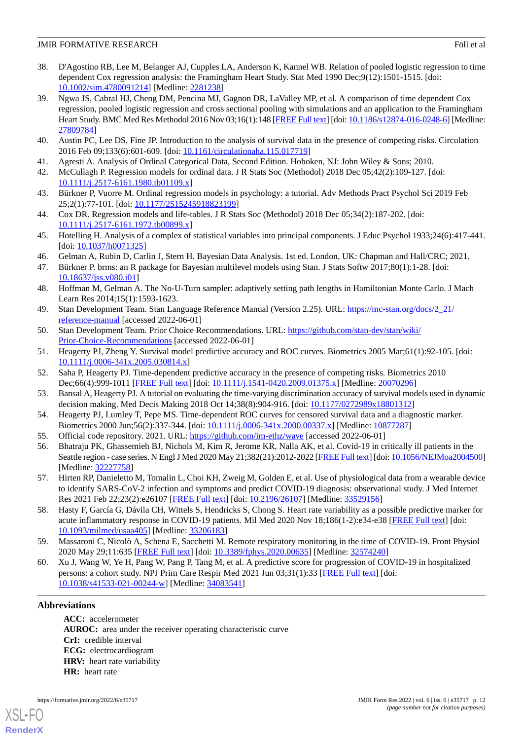## **JMIR FORMATIVE RESEARCH Föll et al.** Föll et al.

- <span id="page-11-0"></span>38. D'Agostino RB, Lee M, Belanger AJ, Cupples LA, Anderson K, Kannel WB. Relation of pooled logistic regression to time dependent Cox regression analysis: the Framingham Heart Study. Stat Med 1990 Dec;9(12):1501-1515. [doi: [10.1002/sim.4780091214\]](http://dx.doi.org/10.1002/sim.4780091214) [Medline: [2281238\]](http://www.ncbi.nlm.nih.gov/entrez/query.fcgi?cmd=Retrieve&db=PubMed&list_uids=2281238&dopt=Abstract)
- <span id="page-11-1"></span>39. Ngwa JS, Cabral HJ, Cheng DM, Pencina MJ, Gagnon DR, LaValley MP, et al. A comparison of time dependent Cox regression, pooled logistic regression and cross sectional pooling with simulations and an application to the Framingham Heart Study. BMC Med Res Methodol 2016 Nov 03;16(1):148 [[FREE Full text\]](https://bmcmedresmethodol.biomedcentral.com/articles/10.1186/s12874-016-0248-6) [doi: [10.1186/s12874-016-0248-6](http://dx.doi.org/10.1186/s12874-016-0248-6)] [Medline: [27809784](http://www.ncbi.nlm.nih.gov/entrez/query.fcgi?cmd=Retrieve&db=PubMed&list_uids=27809784&dopt=Abstract)]
- <span id="page-11-3"></span><span id="page-11-2"></span>40. Austin PC, Lee DS, Fine JP. Introduction to the analysis of survival data in the presence of competing risks. Circulation 2016 Feb 09;133(6):601-609. [doi: [10.1161/circulationaha.115.017719](http://dx.doi.org/10.1161/circulationaha.115.017719)]
- 41. Agresti A. Analysis of Ordinal Categorical Data, Second Edition. Hoboken, NJ: John Wiley & Sons; 2010.
- <span id="page-11-4"></span>42. McCullagh P. Regression models for ordinal data. J R Stats Soc (Methodol) 2018 Dec 05;42(2):109-127. [doi: [10.1111/j.2517-6161.1980.tb01109.x\]](http://dx.doi.org/10.1111/j.2517-6161.1980.tb01109.x)
- <span id="page-11-5"></span>43. Bürkner P, Vuorre M. Ordinal regression models in psychology: a tutorial. Adv Methods Pract Psychol Sci 2019 Feb 25;2(1):77-101. [doi: [10.1177/2515245918823199\]](http://dx.doi.org/10.1177/2515245918823199)
- <span id="page-11-6"></span>44. Cox DR. Regression models and life-tables. J R Stats Soc (Methodol) 2018 Dec 05;34(2):187-202. [doi: [10.1111/j.2517-6161.1972.tb00899.x\]](http://dx.doi.org/10.1111/j.2517-6161.1972.tb00899.x)
- <span id="page-11-7"></span>45. Hotelling H. Analysis of a complex of statistical variables into principal components. J Educ Psychol 1933;24(6):417-441. [doi: [10.1037/h0071325](http://dx.doi.org/10.1037/h0071325)]
- <span id="page-11-8"></span>46. Gelman A, Rubin D, Carlin J, Stern H. Bayesian Data Analysis. 1st ed. London, UK: Chapman and Hall/CRC; 2021.
- 47. Bürkner P. brms: an R package for Bayesian multilevel models using Stan. J Stats Softw 2017;80(1):1-28. [doi: [10.18637/jss.v080.i01](http://dx.doi.org/10.18637/jss.v080.i01)]
- <span id="page-11-10"></span><span id="page-11-9"></span>48. Hoffman M, Gelman A. The No-U-Turn sampler: adaptively setting path lengths in Hamiltonian Monte Carlo. J Mach Learn Res 2014;15(1):1593-1623.
- <span id="page-11-11"></span>49. Stan Development Team. Stan Language Reference Manual (Version 2.25). URL: [https://mc-stan.org/docs/2\\_21/](https://mc-stan.org/docs/2_21/reference-manual) [reference-manual](https://mc-stan.org/docs/2_21/reference-manual) [accessed 2022-06-01]
- <span id="page-11-12"></span>50. Stan Development Team. Prior Choice Recommendations. URL: [https://github.com/stan-dev/stan/wiki/](https://github.com/stan-dev/stan/wiki/Prior-Choice-Recommendations) [Prior-Choice-Recommendations](https://github.com/stan-dev/stan/wiki/Prior-Choice-Recommendations) [accessed 2022-06-01]
- <span id="page-11-13"></span>51. Heagerty PJ, Zheng Y. Survival model predictive accuracy and ROC curves. Biometrics 2005 Mar;61(1):92-105. [doi: [10.1111/j.0006-341x.2005.030814.x\]](http://dx.doi.org/10.1111/j.0006-341x.2005.030814.x)
- <span id="page-11-14"></span>52. Saha P, Heagerty PJ. Time-dependent predictive accuracy in the presence of competing risks. Biometrics 2010 Dec;66(4):999-1011 [\[FREE Full text](http://europepmc.org/abstract/MED/20070296)] [doi: [10.1111/j.1541-0420.2009.01375.x](http://dx.doi.org/10.1111/j.1541-0420.2009.01375.x)] [Medline: [20070296\]](http://www.ncbi.nlm.nih.gov/entrez/query.fcgi?cmd=Retrieve&db=PubMed&list_uids=20070296&dopt=Abstract)
- <span id="page-11-16"></span><span id="page-11-15"></span>53. Bansal A, Heagerty PJ. A tutorial on evaluating the time-varying discrimination accuracy of survival models used in dynamic decision making. Med Decis Making 2018 Oct 14;38(8):904-916. [doi: [10.1177/0272989x18801312\]](http://dx.doi.org/10.1177/0272989x18801312)
- 54. Heagerty PJ, Lumley T, Pepe MS. Time-dependent ROC curves for censored survival data and a diagnostic marker. Biometrics 2000 Jun;56(2):337-344. [doi: [10.1111/j.0006-341x.2000.00337.x\]](http://dx.doi.org/10.1111/j.0006-341x.2000.00337.x) [Medline: [10877287](http://www.ncbi.nlm.nih.gov/entrez/query.fcgi?cmd=Retrieve&db=PubMed&list_uids=10877287&dopt=Abstract)]
- 55. Official code repository. 2021. URL:<https://github.com/im-ethz/wave> [accessed 2022-06-01]
- 56. Bhatraju PK, Ghassemieh BJ, Nichols M, Kim R, Jerome KR, Nalla AK, et al. Covid-19 in critically ill patients in the Seattle region - case series. N Engl J Med 2020 May 21;382(21):2012-2022 [\[FREE Full text](http://europepmc.org/abstract/MED/32227758)] [doi: [10.1056/NEJMoa2004500\]](http://dx.doi.org/10.1056/NEJMoa2004500) [Medline: [32227758](http://www.ncbi.nlm.nih.gov/entrez/query.fcgi?cmd=Retrieve&db=PubMed&list_uids=32227758&dopt=Abstract)]
- 57. Hirten RP, Danieletto M, Tomalin L, Choi KH, Zweig M, Golden E, et al. Use of physiological data from a wearable device to identify SARS-CoV-2 infection and symptoms and predict COVID-19 diagnosis: observational study. J Med Internet Res 2021 Feb 22;23(2):e26107 [\[FREE Full text\]](https://www.jmir.org/2021/2/e26107/) [doi: [10.2196/26107](http://dx.doi.org/10.2196/26107)] [Medline: [33529156](http://www.ncbi.nlm.nih.gov/entrez/query.fcgi?cmd=Retrieve&db=PubMed&list_uids=33529156&dopt=Abstract)]
- <span id="page-11-17"></span>58. Hasty F, García G, Dávila CH, Wittels S, Hendricks S, Chong S. Heart rate variability as a possible predictive marker for acute inflammatory response in COVID-19 patients. Mil Med 2020 Nov 18;186(1-2):e34-e38 [\[FREE Full text\]](http://europepmc.org/abstract/MED/33206183) [doi: [10.1093/milmed/usaa405\]](http://dx.doi.org/10.1093/milmed/usaa405) [Medline: [33206183\]](http://www.ncbi.nlm.nih.gov/entrez/query.fcgi?cmd=Retrieve&db=PubMed&list_uids=33206183&dopt=Abstract)
- 59. Massaroni C, Nicolò A, Schena E, Sacchetti M. Remote respiratory monitoring in the time of COVID-19. Front Physiol 2020 May 29;11:635 [\[FREE Full text\]](https://doi.org/10.3389/fphys.2020.00635) [doi: [10.3389/fphys.2020.00635](http://dx.doi.org/10.3389/fphys.2020.00635)] [Medline: [32574240](http://www.ncbi.nlm.nih.gov/entrez/query.fcgi?cmd=Retrieve&db=PubMed&list_uids=32574240&dopt=Abstract)]
- 60. Xu J, Wang W, Ye H, Pang W, Pang P, Tang M, et al. A predictive score for progression of COVID-19 in hospitalized persons: a cohort study. NPJ Prim Care Respir Med 2021 Jun 03;31(1):33 [\[FREE Full text\]](https://doi.org/10.1038/s41533-021-00244-w) [doi: [10.1038/s41533-021-00244-w\]](http://dx.doi.org/10.1038/s41533-021-00244-w) [Medline: [34083541\]](http://www.ncbi.nlm.nih.gov/entrez/query.fcgi?cmd=Retrieve&db=PubMed&list_uids=34083541&dopt=Abstract)

## **Abbreviations**

[XSL](http://www.w3.org/Style/XSL)•FO **[RenderX](http://www.renderx.com/)**

**ACC:** accelerometer **AUROC:** area under the receiver operating characteristic curve **CrI:** credible interval **ECG:** electrocardiogram **HRV:** heart rate variability **HR:** heart rate